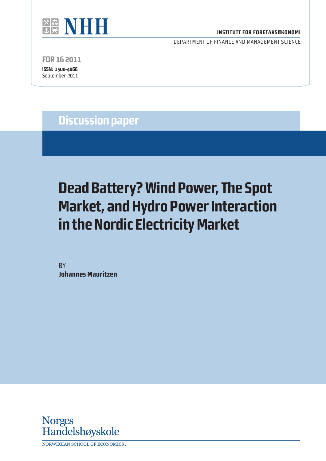

#### **INSTITUTT FOR FORETAKSØKONOMI**

DEPARTMENT OF FINANCE AND MANAGEMENT SCIENCE

**FOR 16 2011**

**ISSN: 1500-4066** September 2011

## **Discussion paper**

# **Dead Battery? Wind Power, The Spot Market, and Hydro Power Interaction in the Nordic Electricity Market**

**BY Johannes Mauritzen** 



NORWEGIAN SCHOOL OF ECONOMICS.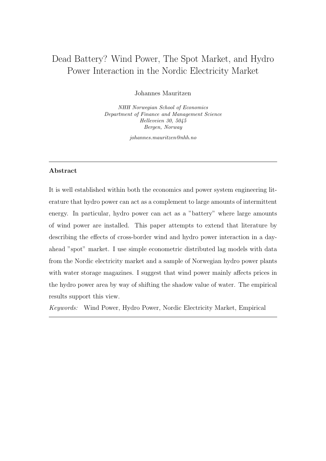### Dead Battery? Wind Power, The Spot Market, and Hydro Power Interaction in the Nordic Electricity Market

Johannes Mauritzen

NHH Norwegian School of Economics Department of Finance and Management Science Helleveien 30, 5045 Bergen, Norway

johannes.mauritzen@nhh.no

#### Abstract

It is well established within both the economics and power system engineering literature that hydro power can act as a complement to large amounts of intermittent energy. In particular, hydro power can act as a "battery" where large amounts of wind power are installed. This paper attempts to extend that literature by describing the effects of cross-border wind and hydro power interaction in a dayahead "spot" market. I use simple econometric distributed lag models with data from the Nordic electricity market and a sample of Norwegian hydro power plants with water storage magazines. I suggest that wind power mainly affects prices in the hydro power area by way of shifting the shadow value of water. The empirical results support this view.

Keywords: Wind Power, Hydro Power, Nordic Electricity Market, Empirical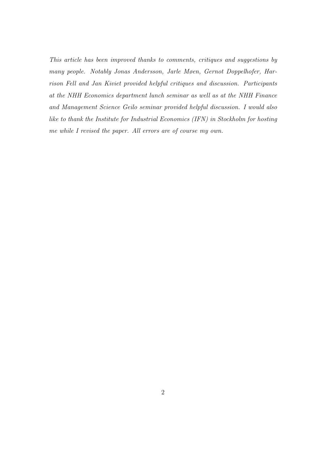This article has been improved thanks to comments, critiques and suggestions by many people. Notably Jonas Andersson, Jarle Møen, Gernot Doppelhofer, Harrison Fell and Jan Kiviet provided helpful critiques and discussion. Participants at the NHH Economics department lunch seminar as well as at the NHH Finance and Management Science Geilo seminar provided helpful discussion. I would also like to thank the Institute for Industrial Economics (IFN) in Stockholm for hosting me while I revised the paper. All errors are of course my own.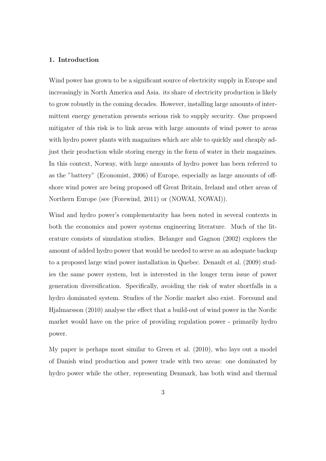#### 1. Introduction

Wind power has grown to be a significant source of electricity supply in Europe and increasingly in North America and Asia. its share of electricity production is likely to grow robustly in the coming decades. However, installing large amounts of intermittent energy generation presents serious risk to supply security. One proposed mitigater of this risk is to link areas with large amounts of wind power to areas with hydro power plants with magazines which are able to quickly and cheaply adjust their production while storing energy in the form of water in their magazines. In this context, Norway, with large amounts of hydro power has been referred to as the "battery" (Economist, 2006) of Europe, especially as large amounts of offshore wind power are being proposed off Great Britain, Ireland and other areas of Northern Europe (see (Forewind, 2011) or (NOWAI, NOWAI)).

Wind and hydro power's complementarity has been noted in several contexts in both the economics and power systems engineering literature. Much of the literature consists of simulation studies. Belanger and Gagnon (2002) explores the amount of added hydro power that would be needed to serve as an adequate backup to a proposed large wind power installation in Quebec. Denault et al. (2009) studies the same power system, but is interested in the longer term issue of power generation diversification. Specifically, avoiding the risk of water shortfalls in a hydro dominated system. Studies of the Nordic market also exist. Foersund and Hjalmarsson (2010) analyse the effect that a build-out of wind power in the Nordic market would have on the price of providing regulation power - primarily hydro power.

My paper is perhaps most similar to Green et al. (2010), who lays out a model of Danish wind production and power trade with two areas: one dominated by hydro power while the other, representing Denmark, has both wind and thermal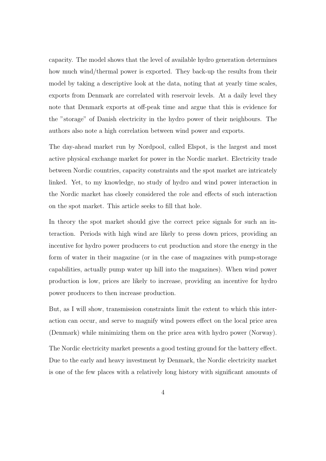capacity. The model shows that the level of available hydro generation determines how much wind/thermal power is exported. They back-up the results from their model by taking a descriptive look at the data, noting that at yearly time scales, exports from Denmark are correlated with reservoir levels. At a daily level they note that Denmark exports at off-peak time and argue that this is evidence for the "storage" of Danish electricity in the hydro power of their neighbours. The authors also note a high correlation between wind power and exports.

The day-ahead market run by Nordpool, called Elspot, is the largest and most active physical exchange market for power in the Nordic market. Electricity trade between Nordic countries, capacity constraints and the spot market are intricately linked. Yet, to my knowledge, no study of hydro and wind power interaction in the Nordic market has closely considered the role and effects of such interaction on the spot market. This article seeks to fill that hole.

In theory the spot market should give the correct price signals for such an interaction. Periods with high wind are likely to press down prices, providing an incentive for hydro power producers to cut production and store the energy in the form of water in their magazine (or in the case of magazines with pump-storage capabilities, actually pump water up hill into the magazines). When wind power production is low, prices are likely to increase, providing an incentive for hydro power producers to then increase production.

But, as I will show, transmission constraints limit the extent to which this interaction can occur, and serve to magnify wind powers effect on the local price area (Denmark) while minimizing them on the price area with hydro power (Norway).

The Nordic electricity market presents a good testing ground for the battery effect. Due to the early and heavy investment by Denmark, the Nordic electricity market is one of the few places with a relatively long history with significant amounts of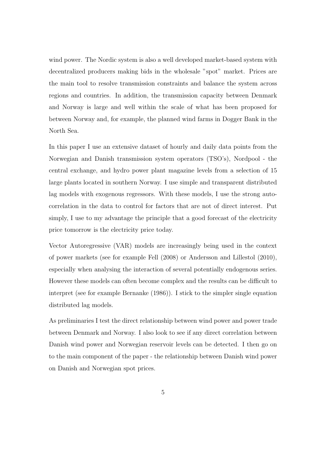wind power. The Nordic system is also a well developed market-based system with decentralized producers making bids in the wholesale "spot" market. Prices are the main tool to resolve transmission constraints and balance the system across regions and countries. In addition, the transmission capacity between Denmark and Norway is large and well within the scale of what has been proposed for between Norway and, for example, the planned wind farms in Dogger Bank in the North Sea.

In this paper I use an extensive dataset of hourly and daily data points from the Norwegian and Danish transmission system operators (TSO's), Nordpool - the central exchange, and hydro power plant magazine levels from a selection of 15 large plants located in southern Norway. I use simple and transparent distributed lag models with exogenous regressors. With these models, I use the strong autocorrelation in the data to control for factors that are not of direct interest. Put simply, I use to my advantage the principle that a good forecast of the electricity price tomorrow is the electricity price today.

Vector Autoregressive (VAR) models are increasingly being used in the context of power markets (see for example Fell (2008) or Andersson and Lillestol (2010), especially when analysing the interaction of several potentially endogenous series. However these models can often become complex and the results can be difficult to interpret (see for example Bernanke (1986)). I stick to the simpler single equation distributed lag models.

As preliminaries I test the direct relationship between wind power and power trade between Denmark and Norway. I also look to see if any direct correlation between Danish wind power and Norwegian reservoir levels can be detected. I then go on to the main component of the paper - the relationship between Danish wind power on Danish and Norwegian spot prices.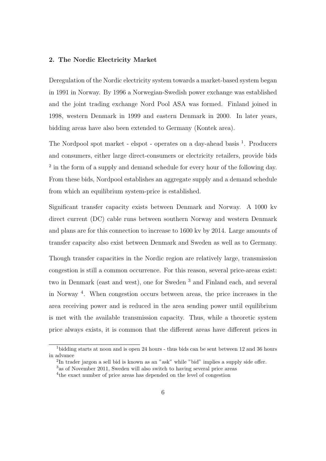#### 2. The Nordic Electricity Market

Deregulation of the Nordic electricity system towards a market-based system began in 1991 in Norway. By 1996 a Norwegian-Swedish power exchange was established and the joint trading exchange Nord Pool ASA was formed. Finland joined in 1998, western Denmark in 1999 and eastern Denmark in 2000. In later years, bidding areas have also been extended to Germany (Kontek area).

The Nordpool spot market - elspot - operates on a day-ahead basis <sup>1</sup>. Producers and consumers, either large direct-consumers or electricity retailers, provide bids <sup>2</sup> in the form of a supply and demand schedule for every hour of the following day. From these bids, Nordpool establishes an aggregate supply and a demand schedule from which an equilibrium system-price is established.

Significant transfer capacity exists between Denmark and Norway. A 1000 kv direct current (DC) cable runs between southern Norway and western Denmark and plans are for this connection to increase to 1600 kv by 2014. Large amounts of transfer capacity also exist between Denmark and Sweden as well as to Germany.

Though transfer capacities in the Nordic region are relatively large, transmission congestion is still a common occurrence. For this reason, several price-areas exist: two in Denmark (east and west), one for Sweden<sup>3</sup> and Finland each, and several in Norway <sup>4</sup> . When congestion occurs between areas, the price increases in the area receiving power and is reduced in the area sending power until equilibrium is met with the available transmission capacity. Thus, while a theoretic system price always exists, it is common that the different areas have different prices in

<sup>1</sup>bidding starts at noon and is open 24 hours - thus bids can be sent between 12 and 36 hours in advance

<sup>2</sup> In trader jargon a sell bid is known as an "ask" while "bid" implies a supply side offer.

<sup>3</sup>as of November 2011, Sweden will also switch to having several price areas

<sup>4</sup> the exact number of price areas has depended on the level of congestion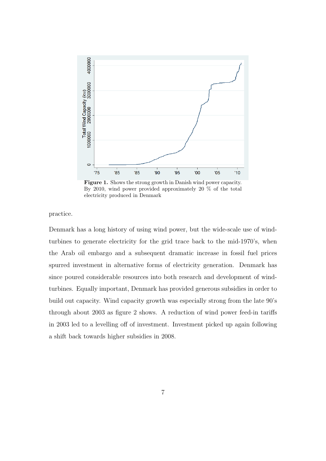

Figure 1. Shows the strong growth in Danish wind power capacity. By 2010, wind power provided approximately 20 % of the total electricity produced in Denmark

practice.

Denmark has a long history of using wind power, but the wide-scale use of windturbines to generate electricity for the grid trace back to the mid-1970's, when the Arab oil embargo and a subsequent dramatic increase in fossil fuel prices spurred investment in alternative forms of electricity generation. Denmark has since poured considerable resources into both research and development of windturbines. Equally important, Denmark has provided generous subsidies in order to build out capacity. Wind capacity growth was especially strong from the late 90's through about 2003 as figure 2 shows. A reduction of wind power feed-in tariffs in 2003 led to a levelling off of investment. Investment picked up again following a shift back towards higher subsidies in 2008.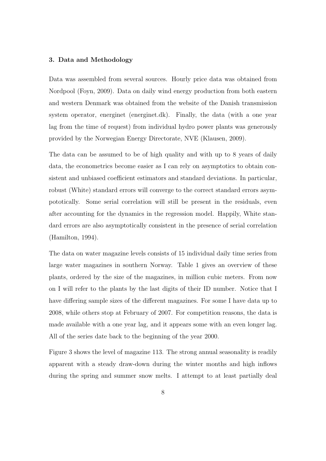#### 3. Data and Methodology

Data was assembled from several sources. Hourly price data was obtained from Nordpool (Foyn, 2009). Data on daily wind energy production from both eastern and western Denmark was obtained from the website of the Danish transmission system operator, energinet (energinet.dk). Finally, the data (with a one year lag from the time of request) from individual hydro power plants was generously provided by the Norwegian Energy Directorate, NVE (Klausen, 2009).

The data can be assumed to be of high quality and with up to 8 years of daily data, the econometrics become easier as I can rely on asymptotics to obtain consistent and unbiased coefficient estimators and standard deviations. In particular, robust (White) standard errors will converge to the correct standard errors asympototically. Some serial correlation will still be present in the residuals, even after accounting for the dynamics in the regression model. Happily, White standard errors are also asymptotically consistent in the presence of serial correlation (Hamilton, 1994).

The data on water magazine levels consists of 15 individual daily time series from large water magazines in southern Norway. Table 1 gives an overview of these plants, ordered by the size of the magazines, in million cubic meters. From now on I will refer to the plants by the last digits of their ID number. Notice that I have differing sample sizes of the different magazines. For some I have data up to 2008, while others stop at February of 2007. For competition reasons, the data is made available with a one year lag, and it appears some with an even longer lag. All of the series date back to the beginning of the year 2000.

Figure 3 shows the level of magazine 113. The strong annual seasonality is readily apparent with a steady draw-down during the winter months and high inflows during the spring and summer snow melts. I attempt to at least partially deal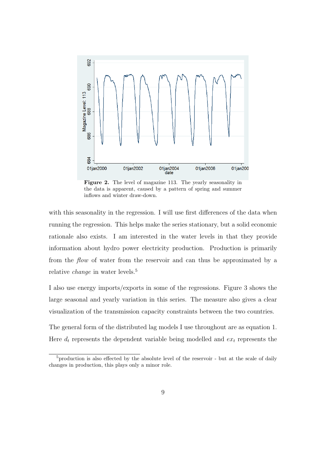

Figure 2. The level of magazine 113. The yearly seasonality in the data is apparent, caused by a pattern of spring and summer inflows and winter draw-down.

with this seasonality in the regression. I will use first differences of the data when running the regression. This helps make the series stationary, but a solid economic rationale also exists. I am interested in the water levels in that they provide information about hydro power electricity production. Production is primarily from the flow of water from the reservoir and can thus be approximated by a relative change in water levels.<sup>5</sup>

I also use energy imports/exports in some of the regressions. Figure 3 shows the large seasonal and yearly variation in this series. The measure also gives a clear visualization of the transmission capacity constraints between the two countries.

The general form of the distributed lag models I use throughout are as equation 1. Here  $d_t$  represents the dependent variable being modelled and  $ex_t$  represents the

<sup>&</sup>lt;sup>5</sup>production is also effected by the absolute level of the reservoir - but at the scale of daily changes in production, this plays only a minor role.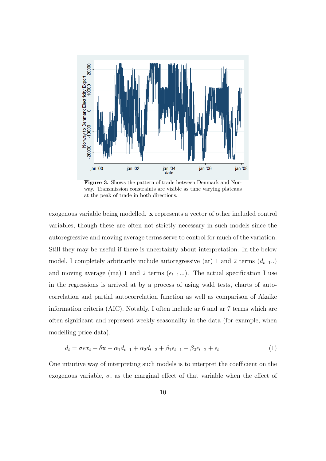

Figure 3. Shows the pattern of trade between Denmark and Norway. Transmission constraints are visible as time varying plateaus at the peak of trade in both directions.

exogenous variable being modelled. x represents a vector of other included control variables, though these are often not strictly necessary in such models since the autoregressive and moving average terms serve to control for much of the variation. Still they may be useful if there is uncertainty about interpretation. In the below model, I completely arbitrarily include autoregressive (ar) 1 and 2 terms  $(d_{t-1}..)$ and moving average (ma) 1 and 2 terms  $(\epsilon_{t-1}...)$ . The actual specification I use in the regressions is arrived at by a process of using wald tests, charts of autocorrelation and partial autocorrelation function as well as comparison of Akaike information criteria (AIC). Notably, I often include ar 6 and ar 7 terms which are often significant and represent weekly seasonality in the data (for example, when modelling price data).

$$
d_t = \sigma e x_t + \delta x + \alpha_1 d_{t-1} + \alpha_2 d_{t-2} + \beta_1 \epsilon_{t-1} + \beta_2 \epsilon_{t-2} + \epsilon_t
$$
\n(1)

One intuitive way of interpreting such models is to interpret the coefficient on the exogenous variable,  $\sigma$ , as the marginal effect of that variable when the effect of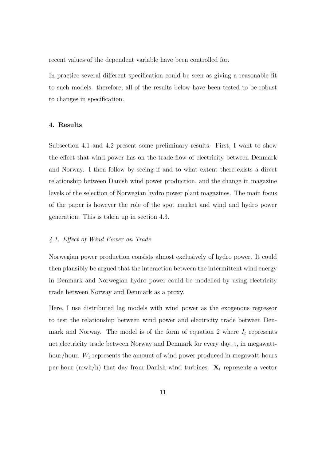recent values of the dependent variable have been controlled for.

In practice several different specification could be seen as giving a reasonable fit to such models. therefore, all of the results below have been tested to be robust to changes in specification.

#### 4. Results

Subsection 4.1 and 4.2 present some preliminary results. First, I want to show the effect that wind power has on the trade flow of electricity between Denmark and Norway. I then follow by seeing if and to what extent there exists a direct relationship between Danish wind power production, and the change in magazine levels of the selection of Norwegian hydro power plant magazines. The main focus of the paper is however the role of the spot market and wind and hydro power generation. This is taken up in section 4.3.

#### 4.1. Effect of Wind Power on Trade

Norwegian power production consists almost exclusively of hydro power. It could then plausibly be argued that the interaction between the intermittent wind energy in Denmark and Norwegian hydro power could be modelled by using electricity trade between Norway and Denmark as a proxy.

Here, I use distributed lag models with wind power as the exogenous regressor to test the relationship between wind power and electricity trade between Denmark and Norway. The model is of the form of equation 2 where  $I_t$  represents net electricity trade between Norway and Denmark for every day, t, in megawatthour/hour.  $W_t$  represents the amount of wind power produced in megawatt-hours per hour (mwh/h) that day from Danish wind turbines.  $X_t$  represents a vector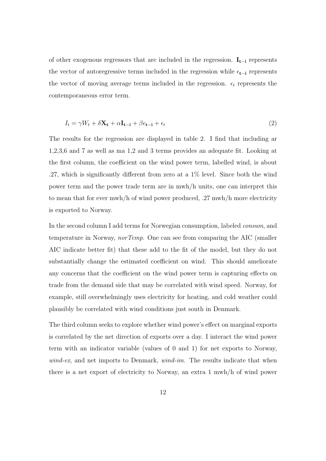of other exogenous regressors that are included in the regression.  $\mathbf{I}_{t-i}$  represents the vector of autoregressive terms included in the regression while  $\epsilon_{t-i}$  represents the vector of moving average terms included in the regression.  $\epsilon_t$  represents the contemporaneous error term.

$$
I_t = \gamma W_t + \delta \mathbf{X_t} + \alpha \mathbf{I_{t-i}} + \beta \epsilon_{t-i} + \epsilon_t
$$
\n<sup>(2)</sup>

The results for the regression are displayed in table 2. I find that including ar 1,2,3,6 and 7 as well as ma 1,2 and 3 terms provides an adequate fit. Looking at the first column, the coefficient on the wind power term, labelled wind, is about .27, which is significantly different from zero at a 1% level. Since both the wind power term and the power trade term are in mwh/h units, one can interpret this to mean that for ever mwh/h of wind power produced, .27 mwh/h more electricity is exported to Norway.

In the second column I add terms for Norwegian consumption, labeled consum, and temperature in Norway, *norTemp*. One can see from comparing the AIC (smaller AIC indicate better fit) that these add to the fit of the model, but they do not substantially change the estimated coefficient on wind. This should ameliorate any concerns that the coefficient on the wind power term is capturing effects on trade from the demand side that may be correlated with wind speed. Norway, for example, still overwhelmingly uses electricity for heating, and cold weather could plausibly be correlated with wind conditions just south in Denmark.

The third column seeks to explore whether wind power's effect on marginal exports is correlated by the net direction of exports over a day. I interact the wind power term with an indicator variable (values of 0 and 1) for net exports to Norway,  $wind-ex$ , and net imports to Denmark,  $wind\text{-}im$ . The results indicate that when there is a net export of electricity to Norway, an extra 1 mwh/h of wind power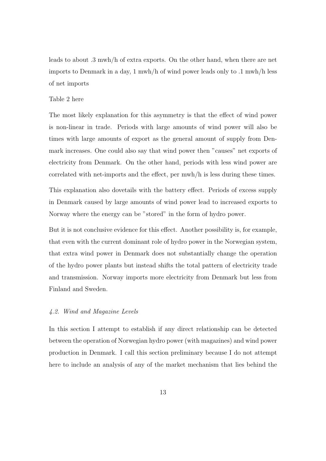leads to about .3 mwh/h of extra exports. On the other hand, when there are net imports to Denmark in a day, 1 mwh/h of wind power leads only to .1 mwh/h less of net imports

#### Table 2 here

The most likely explanation for this asymmetry is that the effect of wind power is non-linear in trade. Periods with large amounts of wind power will also be times with large amounts of export as the general amount of supply from Denmark increases. One could also say that wind power then "causes" net exports of electricity from Denmark. On the other hand, periods with less wind power are correlated with net-imports and the effect, per mwh/h is less during these times.

This explanation also dovetails with the battery effect. Periods of excess supply in Denmark caused by large amounts of wind power lead to increased exports to Norway where the energy can be "stored" in the form of hydro power.

But it is not conclusive evidence for this effect. Another possibility is, for example, that even with the current dominant role of hydro power in the Norwegian system, that extra wind power in Denmark does not substantially change the operation of the hydro power plants but instead shifts the total pattern of electricity trade and transmission. Norway imports more electricity from Denmark but less from Finland and Sweden.

#### 4.2. Wind and Magazine Levels

In this section I attempt to establish if any direct relationship can be detected between the operation of Norwegian hydro power (with magazines) and wind power production in Denmark. I call this section preliminary because I do not attempt here to include an analysis of any of the market mechanism that lies behind the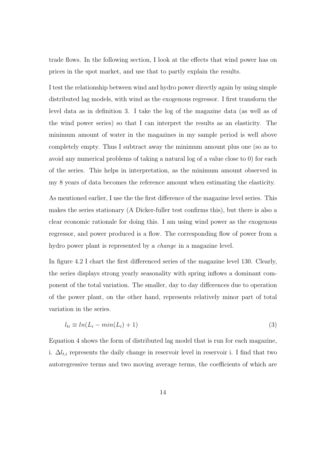trade flows. In the following section, I look at the effects that wind power has on prices in the spot market, and use that to partly explain the results.

I test the relationship between wind and hydro power directly again by using simple distributed lag models, with wind as the exogenous regressor. I first transform the level data as in definition 3. I take the log of the magazine data (as well as of the wind power series) so that I can interpret the results as an elasticity. The minimum amount of water in the magazines in my sample period is well above completely empty. Thus I subtract away the minimum amount plus one (so as to avoid any numerical problems of taking a natural log of a value close to 0) for each of the series. This helps in interpretation, as the minimum amount observed in my 8 years of data becomes the reference amount when estimating the elasticity.

As mentioned earlier, I use the the first difference of the magazine level series. This makes the series stationary (A Dicker-fuller test confirms this), but there is also a clear economic rationale for doing this. I am using wind power as the exogenous regressor, and power produced is a flow. The corresponding flow of power from a hydro power plant is represented by a change in a magazine level.

In figure 4.2 I chart the first differenced series of the magazine level 130. Clearly, the series displays strong yearly seasonality with spring inflows a dominant component of the total variation. The smaller, day to day differences due to operation of the power plant, on the other hand, represents relatively minor part of total variation in the series.

$$
l_{ti} \equiv ln(L_i - min(L_i) + 1) \tag{3}
$$

Equation 4 shows the form of distributed lag model that is run for each magazine, i.  $\Delta l_{t,i}$  represents the daily change in reservoir level in reservoir i. I find that two autoregressive terms and two moving average terms, the coefficients of which are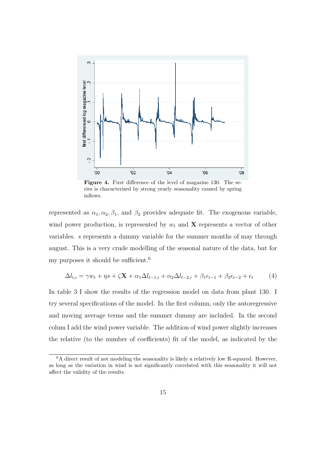

Figure 4. First difference of the level of magazine 130. The series is characterised by strong yearly seasonality caused by spring inflows.

represented as  $\alpha_1, \alpha_2, \beta_1$ , and  $\beta_2$  provides adequate fit. The exogenous variable, wind power production, is represented by  $w_t$  and **X** represents a vector of other variables. s represents a dummy variable for the summer months of may through august. This is a very crude modelling of the seasonal nature of the data, but for my purposes it should be sufficient.<sup>6</sup>

$$
\Delta l_{t,i} = \gamma w_t + \eta s + \zeta \mathbf{X} + \alpha_1 \Delta l_{t-1,i} + \alpha_2 \Delta l_{t-2,i} + \beta_1 \epsilon_{t-1} + \beta_2 \epsilon_{t-2} + \epsilon_t \tag{4}
$$

In table 3 I show the results of the regression model on data from plant 130. I try several specifications of the model. In the first column, only the autoregressive and moving average terms and the summer dummy are included. In the second colum I add the wind power variable. The addition of wind power slightly increases the relative (to the number of coefficients) fit of the model, as indicated by the

<sup>&</sup>lt;sup>6</sup>A direct result of not modeling the seasonality is likely a relatively low R-squared. However, as long as the variation in wind is not significantly correlated with this seasonality it will not affect the validity of the results.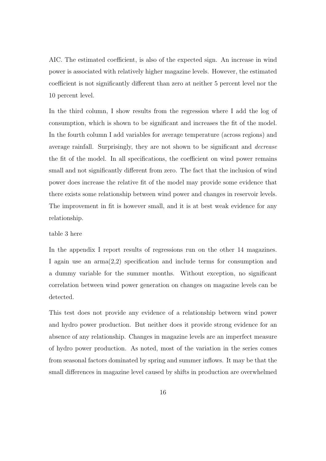AIC. The estimated coefficient, is also of the expected sign. An increase in wind power is associated with relatively higher magazine levels. However, the estimated coefficient is not significantly different than zero at neither 5 percent level nor the 10 percent level.

In the third column, I show results from the regression where I add the log of consumption, which is shown to be significant and increases the fit of the model. In the fourth column I add variables for average temperature (across regions) and average rainfall. Surprisingly, they are not shown to be significant and decrease the fit of the model. In all specifications, the coefficient on wind power remains small and not significantly different from zero. The fact that the inclusion of wind power does increase the relative fit of the model may provide some evidence that there exists some relationship between wind power and changes in reservoir levels. The improvement in fit is however small, and it is at best weak evidence for any relationship.

#### table 3 here

In the appendix I report results of regressions run on the other 14 magazines. I again use an arma(2,2) specification and include terms for consumption and a dummy variable for the summer months. Without exception, no significant correlation between wind power generation on changes on magazine levels can be detected.

This test does not provide any evidence of a relationship between wind power and hydro power production. But neither does it provide strong evidence for an absence of any relationship. Changes in magazine levels are an imperfect measure of hydro power production. As noted, most of the variation in the series comes from seasonal factors dominated by spring and summer inflows. It may be that the small differences in magazine level caused by shifts in production are overwhelmed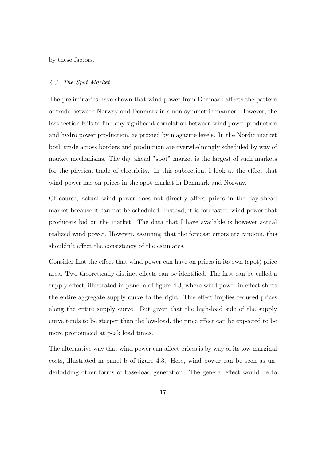by these factors.

#### 4.3. The Spot Market

The preliminaries have shown that wind power from Denmark affects the pattern of trade between Norway and Denmark in a non-symmetric manner. However, the last section fails to find any significant correlation between wind power production and hydro power production, as proxied by magazine levels. In the Nordic market both trade across borders and production are overwhelmingly scheduled by way of market mechanisms. The day ahead "spot" market is the largest of such markets for the physical trade of electricity. In this subsection, I look at the effect that wind power has on prices in the spot market in Denmark and Norway.

Of course, actual wind power does not directly affect prices in the day-ahead market because it can not be scheduled. Instead, it is forecasted wind power that producers bid on the market. The data that I have available is however actual realized wind power. However, assuming that the forecast errors are random, this shouldn't effect the consistency of the estimates.

Consider first the effect that wind power can have on prices in its own (spot) price area. Two theoretically distinct effects can be identified. The first can be called a supply effect, illustrated in panel a of figure 4.3, where wind power in effect shifts the entire aggregate supply curve to the right. This effect implies reduced prices along the entire supply curve. But given that the high-load side of the supply curve tends to be steeper than the low-load, the price effect can be expected to be more pronounced at peak load times.

The alternative way that wind power can affect prices is by way of its low marginal costs, illustrated in panel b of figure 4.3. Here, wind power can be seen as underbidding other forms of base-load generation. The general effect would be to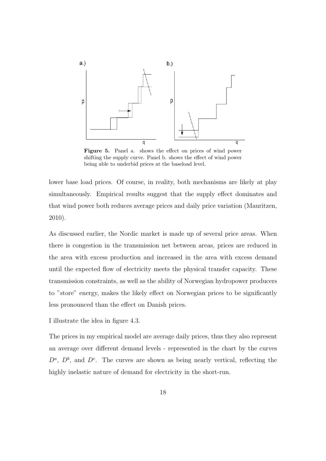

Figure 5. Panel a. shows the effect on prices of wind power shifting the supply curve. Panel b. shows the effect of wind power being able to underbid prices at the baseload level.

lower base load prices. Of course, in reality, both mechanisms are likely at play simultaneously. Empirical results suggest that the supply effect dominates and that wind power both reduces average prices and daily price variation (Mauritzen, 2010).

As discussed earlier, the Nordic market is made up of several price areas. When there is congestion in the transmission net between areas, prices are reduced in the area with excess production and increased in the area with excess demand until the expected flow of electricity meets the physical transfer capacity. These transmission constraints, as well as the ability of Norwegian hydropower producers to "store" energy, makes the likely effect on Norwegian prices to be significantly less pronounced than the effect on Danish prices.

I illustrate the idea in figure 4.3.

The prices in my empirical model are average daily prices, thus they also represent an average over different demand levels - represented in the chart by the curves  $D^a$ ,  $D^b$ , and  $D^c$ . The curves are shown as being nearly vertical, reflecting the highly inelastic nature of demand for electricity in the short-run.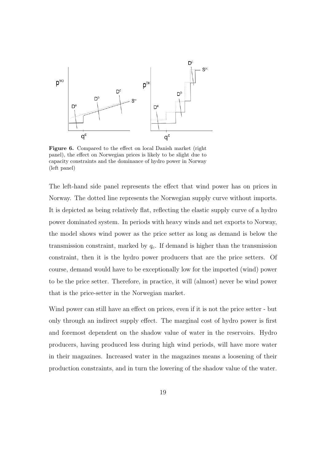

Figure 6. Compared to the effect on local Danish market (right panel), the effect on Norwegian prices is likely to be slight due to capacity constraints and the dominance of hydro power in Norway (left panel)

The left-hand side panel represents the effect that wind power has on prices in Norway. The dotted line represents the Norwegian supply curve without imports. It is depicted as being relatively flat, reflecting the elastic supply curve of a hydro power dominated system. In periods with heavy winds and net exports to Norway, the model shows wind power as the price setter as long as demand is below the transmission constraint, marked by  $q_c$ . If demand is higher than the transmission constraint, then it is the hydro power producers that are the price setters. Of course, demand would have to be exceptionally low for the imported (wind) power to be the price setter. Therefore, in practice, it will (almost) never be wind power that is the price-setter in the Norwegian market.

Wind power can still have an effect on prices, even if it is not the price setter - but only through an indirect supply effect. The marginal cost of hydro power is first and foremost dependent on the shadow value of water in the reservoirs. Hydro producers, having produced less during high wind periods, will have more water in their magazines. Increased water in the magazines means a loosening of their production constraints, and in turn the lowering of the shadow value of the water.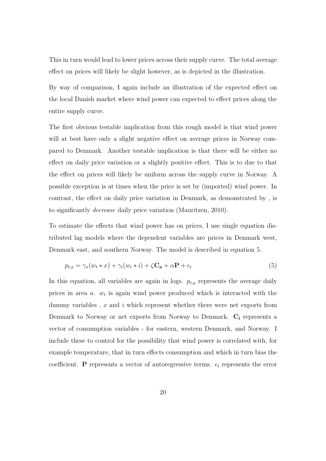This in turn would lead to lower prices across their supply curve. The total average effect on prices will likely be slight however, as is depicted in the illustration.

By way of comparison, I again include an illustration of the expected effect on the local Danish market where wind power can expected to effect prices along the entire supply curve.

The first obvious testable implication from this rough model is that wind power will at best have only a slight negative effect on average prices in Norway compared to Denmark. Another testable implication is that there will be either no effect on daily price variation or a slightly positive effect. This is to due to that the effect on prices will likely be uniform across the supply curve in Norway. A possible exception is at times when the price is set by (imported) wind power. In contrast, the effect on daily price variation in Denmark, as demonstrated by , is to significantly decrease daily price variation (Mauritzen, 2010).

To estimate the effects that wind power has on prices, I use single equation distributed lag models where the dependent variables are prices in Denmark west, Denmark east, and southern Norway. The model is described in equation 5.

$$
p_{t,a} = \gamma_x(w_t * x) + \gamma_i(w_t * i) + \zeta \mathbf{C}_a + \alpha \mathbf{P} + \epsilon_t
$$
\n
$$
\tag{5}
$$

In this equation, all variables are again in logs.  $p_{t,a}$  represents the average daily prices in area  $a$ .  $w_t$  is again wind power produced which is interacted with the dummy variables,  $x$  and  $i$  which represent whether there were net exports from Denmark to Norway or net exports from Norway to Denmark. C<sub>i</sub> represents a vector of consumption variables - for eastern, western Denmark, and Norway. I include these to control for the possibility that wind power is correlated with, for example temperature, that in turn effects consumption and which in turn bias the coefficient. P represents a vector of autoregressive terms.  $\epsilon_t$  represents the error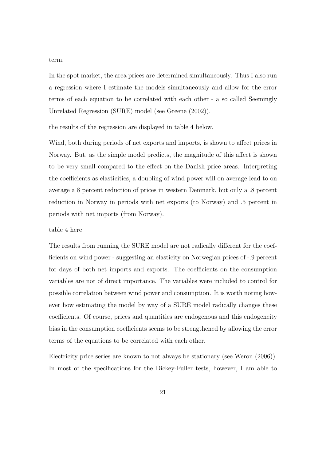term.

In the spot market, the area prices are determined simultaneously. Thus I also run a regression where I estimate the models simultaneously and allow for the error terms of each equation to be correlated with each other - a so called Seemingly Unrelated Regression (SURE) model (see Greene (2002)).

the results of the regression are displayed in table 4 below.

Wind, both during periods of net exports and imports, is shown to affect prices in Norway. But, as the simple model predicts, the magnitude of this affect is shown to be very small compared to the effect on the Danish price areas. Interpreting the coefficients as elasticities, a doubling of wind power will on average lead to on average a 8 percent reduction of prices in western Denmark, but only a .8 percent reduction in Norway in periods with net exports (to Norway) and .5 percent in periods with net imports (from Norway).

#### table 4 here

The results from running the SURE model are not radically different for the coefficients on wind power - suggesting an elasticity on Norwegian prices of -.9 percent for days of both net imports and exports. The coefficients on the consumption variables are not of direct importance. The variables were included to control for possible correlation between wind power and consumption. It is worth noting however how estimating the model by way of a SURE model radically changes these coefficients. Of course, prices and quantities are endogenous and this endogeneity bias in the consumption coefficients seems to be strengthened by allowing the error terms of the equations to be correlated with each other.

Electricity price series are known to not always be stationary (see Weron (2006)). In most of the specifications for the Dickey-Fuller tests, however, I am able to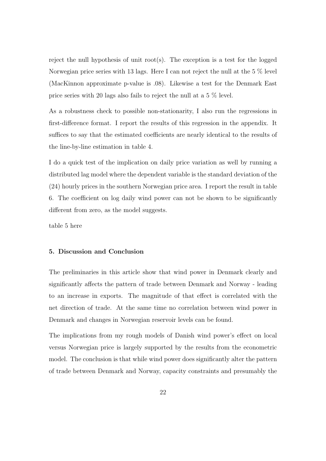reject the null hypothesis of unit  $root(s)$ . The exception is a test for the logged Norwegian price series with 13 lags. Here I can not reject the null at the 5 % level (MacKinnon approximate p-value is .08). Likewise a test for the Denmark East price series with 20 lags also fails to reject the null at a 5 % level.

As a robustness check to possible non-stationarity, I also run the regressions in first-difference format. I report the results of this regression in the appendix. It suffices to say that the estimated coefficients are nearly identical to the results of the line-by-line estimation in table 4.

I do a quick test of the implication on daily price variation as well by running a distributed lag model where the dependent variable is the standard deviation of the (24) hourly prices in the southern Norwegian price area. I report the result in table 6. The coefficient on log daily wind power can not be shown to be significantly different from zero, as the model suggests.

table 5 here

#### 5. Discussion and Conclusion

The preliminaries in this article show that wind power in Denmark clearly and significantly affects the pattern of trade between Denmark and Norway - leading to an increase in exports. The magnitude of that effect is correlated with the net direction of trade. At the same time no correlation between wind power in Denmark and changes in Norwegian reservoir levels can be found.

The implications from my rough models of Danish wind power's effect on local versus Norwegian price is largely supported by the results from the econometric model. The conclusion is that while wind power does significantly alter the pattern of trade between Denmark and Norway, capacity constraints and presumably the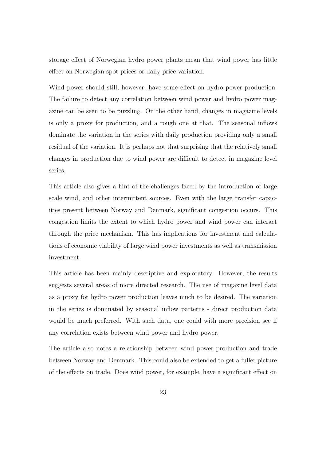storage effect of Norwegian hydro power plants mean that wind power has little effect on Norwegian spot prices or daily price variation.

Wind power should still, however, have some effect on hydro power production. The failure to detect any correlation between wind power and hydro power magazine can be seen to be puzzling. On the other hand, changes in magazine levels is only a proxy for production, and a rough one at that. The seasonal inflows dominate the variation in the series with daily production providing only a small residual of the variation. It is perhaps not that surprising that the relatively small changes in production due to wind power are difficult to detect in magazine level series.

This article also gives a hint of the challenges faced by the introduction of large scale wind, and other intermittent sources. Even with the large transfer capacities present between Norway and Denmark, significant congestion occurs. This congestion limits the extent to which hydro power and wind power can interact through the price mechanism. This has implications for investment and calculations of economic viability of large wind power investments as well as transmission investment.

This article has been mainly descriptive and exploratory. However, the results suggests several areas of more directed research. The use of magazine level data as a proxy for hydro power production leaves much to be desired. The variation in the series is dominated by seasonal inflow patterns - direct production data would be much preferred. With such data, one could with more precision see if any correlation exists between wind power and hydro power.

The article also notes a relationship between wind power production and trade between Norway and Denmark. This could also be extended to get a fuller picture of the effects on trade. Does wind power, for example, have a significant effect on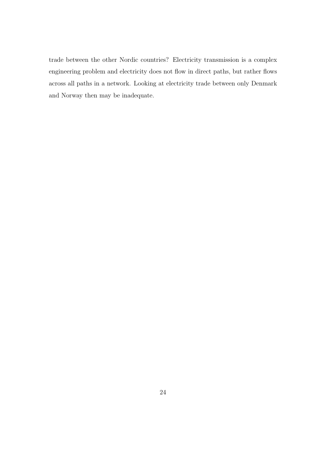trade between the other Nordic countries? Electricity transmission is a complex engineering problem and electricity does not flow in direct paths, but rather flows across all paths in a network. Looking at electricity trade between only Denmark and Norway then may be inadequate.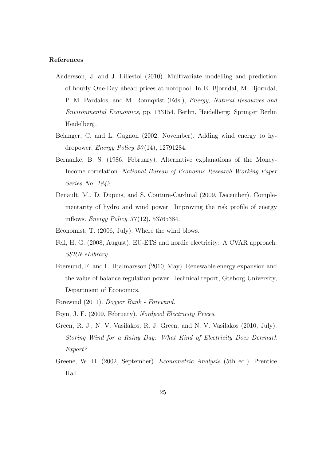#### References

- Andersson, J. and J. Lillestol (2010). Multivariate modelling and prediction of hourly One-Day ahead prices at nordpool. In E. Bjorndal, M. Bjorndal, P. M. Pardalos, and M. Ronnqvist (Eds.), Energy, Natural Resources and Environmental Economics, pp. 133154. Berlin, Heidelberg: Springer Berlin Heidelberg.
- Belanger, C. and L. Gagnon (2002, November). Adding wind energy to hydropower. Energy Policy  $30(14)$ , 12791284.
- Bernanke, B. S. (1986, February). Alternative explanations of the Money-Income correlation. National Bureau of Economic Research Working Paper Series No. 1842.
- Denault, M., D. Dupuis, and S. Couture-Cardinal (2009, December). Complementarity of hydro and wind power: Improving the risk profile of energy inflows. *Energy Policy 37* $(12)$ , 53765384.
- Economist, T. (2006, July). Where the wind blows.
- Fell, H. G. (2008, August). EU-ETS and nordic electricity: A CVAR approach. SSRN eLibrary.
- Foersund, F. and L. Hjalmarsson (2010, May). Renewable energy expansion and the value of balance regulation power. Technical report, Gteborg University, Department of Economics.
- Forewind (2011). Dogger Bank Forewind.
- Foyn, J. F. (2009, February). Nordpool Electricity Prices.
- Green, R. J., N. V. Vasilakos, R. J. Green, and N. V. Vasilakos (2010, July). Storing Wind for a Rainy Day: What Kind of Electricity Does Denmark Export?
- Greene, W. H. (2002, September). Econometric Analysis (5th ed.). Prentice Hall.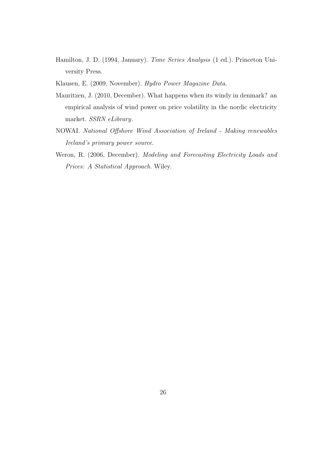- Hamilton, J. D. (1994, January). Time Series Analysis (1 ed.). Princeton University Press.
- Klausen, E. (2009, November). Hydro Power Magazine Data.
- Mauritzen, J. (2010, December). What happens when its windy in denmark? an empirical analysis of wind power on price volatility in the nordic electricity market. SSRN eLibrary.
- NOWAI. National Offshore Wind Association of Ireland Making renewables Ireland's primary power source.
- Weron, R. (2006, December). Modeling and Forecasting Electricity Loads and Prices: A Statistical Approach. Wiley.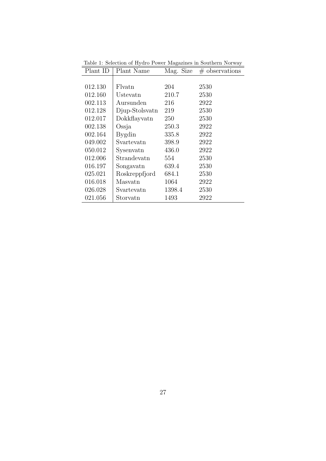| Plant ID | Plant Name     | Mag. Size | $\#$ observations |
|----------|----------------|-----------|-------------------|
|          |                |           |                   |
| 012.130  | Flyatn         | 204       | 2530              |
| 012.160  | Ustevatn       | 210.7     | 2530              |
| 002.113  | Aursunden      | 216       | 2922              |
| 012.128  | Djup-Stolsvatn | 219       | 2530              |
| 012.017  | Dokkflayvatn   | 250       | 2530              |
| 002.138  | Ossja          | 250.3     | 2922              |
| 002.164  | <b>Bygdin</b>  | 335.8     | 2922              |
| 049.002  | Svartevatn     | 398.9     | 2922              |
| 050.012  | Sysenvatn      | 436.0     | 2922              |
| 012.006  | Strandevatn    | 554       | 2530              |
| 016.197  | Songavatn      | 639.4     | 2530              |
| 025.021  | Roskreppfjord  | 684.1     | 2530              |
| 016.018  | Masvatn        | 1064      | 2922              |
| 026.028  | Svartevatn     | 1398.4    | 2530              |
| 021.056  | Storvatn       | 1493      | 2922              |

Table 1: Selection of Hydro Power Magazines in Southern Norway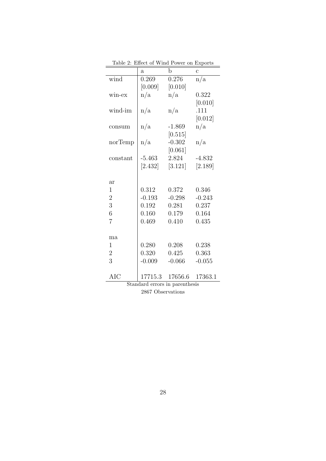|                     | rabie z.<br>ETTECT OF AN ITEL LOMER OIL EXPORTS |          |                |  |  |  |
|---------------------|-------------------------------------------------|----------|----------------|--|--|--|
|                     | $\mathbf{a}$                                    | b        | $\overline{c}$ |  |  |  |
| wind                | 0.269                                           | 0.276    | n/a            |  |  |  |
|                     | [0.009]                                         | [0.010]  |                |  |  |  |
| win-ex              | n/a                                             | n/a      | 0.322          |  |  |  |
|                     |                                                 |          | [0.010]        |  |  |  |
| wind-im             | n/a                                             | n/a      | .111           |  |  |  |
|                     |                                                 |          | [0.012]        |  |  |  |
| consum              | n/a                                             | $-1.869$ | n/a            |  |  |  |
|                     |                                                 | [0.515]  |                |  |  |  |
| norTemp             | n/a                                             | $-0.302$ | n/a            |  |  |  |
|                     |                                                 | [0.061]  |                |  |  |  |
| constant            | $-5.463$                                        | 2.824    | $-4.832$       |  |  |  |
|                     | $[2.432]$                                       | [3.121]  | [2.189]        |  |  |  |
|                     |                                                 |          |                |  |  |  |
| <b>ar</b>           |                                                 |          |                |  |  |  |
| $\mathbf{1}$        | 0.312                                           | 0.372    | 0.346          |  |  |  |
| $\overline{2}$      | $-0.193$                                        | $-0.298$ | $-0.243$       |  |  |  |
| 3                   | 0.192                                           | 0.281    | 0.237          |  |  |  |
| $\overline{6}$      | 0.160                                           | 0.179    | 0.164          |  |  |  |
| $\overline{7}$      | 0.469                                           | 0.410    | 0.435          |  |  |  |
|                     |                                                 |          |                |  |  |  |
| ma                  |                                                 |          |                |  |  |  |
| $\mathbf{1}$        | 0.280                                           | 0.208    | 0.238          |  |  |  |
| $\overline{2}$      | 0.320                                           | 0.425    | 0.363          |  |  |  |
| 3                   | $-0.009$                                        | $-0.066$ | $-0.055$       |  |  |  |
|                     |                                                 |          |                |  |  |  |
| <b>AIC</b>          | 17715.3                                         | 17656.6  | 17363.1        |  |  |  |
| $\overline{\alpha}$ | $1 -$                                           |          | $\cdot$ .      |  |  |  |

Table 2: Effect of Wind Power on Exports

Standard errors in parenthesis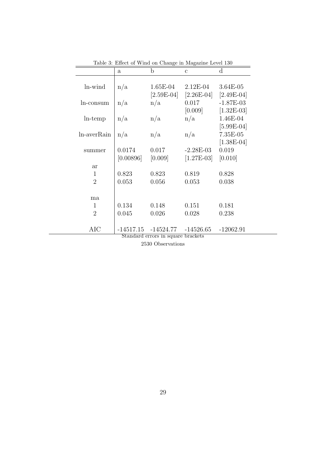|                | $\mathbf{a}$ | $\mathbf b$         | $\mathcal{C}$ | $\mathbf d$  |
|----------------|--------------|---------------------|---------------|--------------|
|                |              |                     |               |              |
| ln-wind        | n/a          | $1.65E-04$          | $2.12E-04$    | 3.64E-05     |
|                |              | $[2.59E-04]$        | $[2.26E-04]$  | $[2.49E-04]$ |
| ln-consum      | n/a          | n/a                 | 0.017         | $-1.87E-03$  |
|                |              |                     | [0.009]       | $[1.32E-03]$ |
| $ln$ -temp     | n/a          | n/a                 | n/a           | 1.46E-04     |
|                |              |                     |               | $[5.99E-04]$ |
| ln-averRain    | n/a          | n/a                 | n/a           | $7.35E-05$   |
|                |              |                     |               | $[1.38E-04]$ |
| summer         | 0.0174       | 0.017               | $-2.28E-03$   | 0.019        |
|                | [0.00896]    | [0.009]             | $[1.27E-03]$  | [0.010]      |
| <b>ar</b>      |              |                     |               |              |
| 1              | 0.823        | 0.823               | 0.819         | 0.828        |
| $\overline{2}$ | 0.053        | 0.056               | 0.053         | 0.038        |
|                |              |                     |               |              |
| ma             |              |                     |               |              |
| 1              | 0.134        | 0.148               | 0.151         | 0.181        |
| $\overline{2}$ | 0.045        | 0.026               | 0.028         | 0.238        |
|                |              |                     |               |              |
| AIC            |              | -14517.15 -14524.77 | $-14526.65$   | $-12062.91$  |

Table 3: Effect of Wind on Change in Magazine Level 130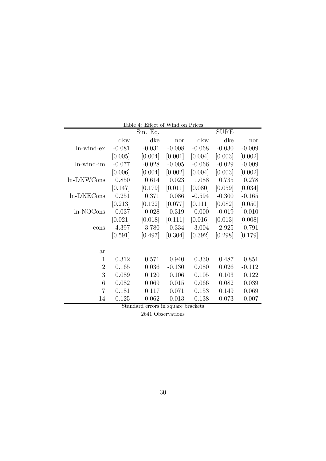| Table 4: Effect of Wind on Prices |          |          |          |          |             |          |
|-----------------------------------|----------|----------|----------|----------|-------------|----------|
|                                   |          | Sin. Eq. |          |          | <b>SURE</b> |          |
|                                   | dkw      | dke      | nor      | dkw      | dke         | nor      |
| ln-wind-ex                        | $-0.081$ | $-0.031$ | $-0.008$ | $-0.068$ | $-0.030$    | $-0.009$ |
|                                   | [0.005]  | [0.004]  | [0.001]  | [0.004]  | [0.003]     | [0.002]  |
| ln-wind-im                        | $-0.077$ | $-0.028$ | $-0.005$ | $-0.066$ | $-0.029$    | $-0.009$ |
|                                   | [0.006]  | [0.004]  | [0.002]  | [0.004]  | [0.003]     | [0.002]  |
| ln-DKWCons                        | 0.850    | 0.614    | 0.023    | 1.088    | 0.735       | 0.278    |
|                                   | [0.147]  | [0.179]  | [0.011]  | [0.080]  | [0.059]     | [0.034]  |
| ln-DKECons                        | 0.251    | 0.371    | 0.086    | $-0.594$ | $-0.300$    | $-0.165$ |
|                                   | [0.213]  | [0.122]  | [0.077]  | [0.111]  | [0.082]     | [0.050]  |
| ln-NOCons                         | 0.037    | 0.028    | 0.319    | 0.000    | $-0.019$    | 0.010    |
|                                   | [0.021]  | [0.018]  | [0.111]  | [0.016]  | [0.013]     | [0.008]  |
| cons                              | $-4.397$ | $-3.780$ | 0.334    | $-3.004$ | $-2.925$    | $-0.791$ |
|                                   | [0.591]  | [0.497]  | [0.304]  | [0.392]  | [0.298]     | [0.179]  |
|                                   |          |          |          |          |             |          |
| <b>ar</b>                         |          |          |          |          |             |          |
| $\mathbf{1}$                      | 0.312    | 0.571    | 0.940    | 0.330    | 0.487       | 0.851    |
| $\overline{2}$                    | 0.165    | 0.036    | $-0.130$ | 0.080    | 0.026       | $-0.112$ |
| 3                                 | 0.089    | 0.120    | 0.106    | 0.105    | 0.103       | 0.122    |
| 6                                 | 0.082    | 0.069    | 0.015    | 0.066    | 0.082       | 0.039    |
| $\overline{7}$                    | 0.181    | 0.117    | 0.071    | 0.153    | 0.149       | 0.069    |
| 14                                | 0.125    | 0.062    | $-0.013$ | 0.138    | 0.073       | 0.007    |

Standard errors in square brackets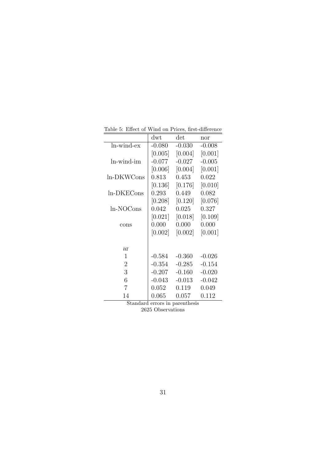|                   | $\mathrm{d}\mathrm{wt}$ | $\det$    | nor      |
|-------------------|-------------------------|-----------|----------|
| ln-wind-ex        | $-0.080$                | $-0.030$  | $-0.008$ |
|                   | [0.005]                 | [0.004]   | [0.001]  |
| ln-wind-im        | $-0.077$                | $-0.027$  | $-0.005$ |
|                   | [0.006]                 | [0.004]   | [0.001]  |
| ln-DKWCons        | 0.813                   | 0.453     | 0.022    |
|                   | [0.136]                 | [0.176]   | [0.010]  |
| ln-DKECons        | 0.293                   | 0.449     | 0.082    |
|                   | [0.208]                 | $[0.120]$ | [0.076]  |
| ln-NOCons         | 0.042                   | 0.025     | 0.327    |
|                   | [0.021]                 | [0.018]   | [0.109]  |
| cons              | 0.000                   | 0.000     | 0.000    |
|                   | [0.002]                 | [0.002]   | [0.001]  |
|                   |                         |           |          |
| ar                |                         |           |          |
| 1                 | $-0.584$                | $-0.360$  | $-0.026$ |
| $\overline{2}$    | $-0.354$                | $-0.285$  | $-0.154$ |
| 3                 | $-0.207$                | $-0.160$  | $-0.020$ |
| 6                 | $-0.043$                | $-0.013$  | $-0.042$ |
| 7                 | 0.052                   | 0.119     | 0.049    |
| 14<br>$C_{\perp}$ | 0.065                   | 0.057     | 0.112    |

Table 5: Effect of Wind on Prices, first-difference

Standard errors in parenthesis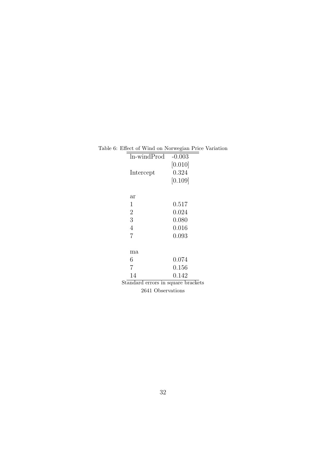| re o. Ellect of willy on ivorwegian I fice variation |          |  |
|------------------------------------------------------|----------|--|
| ln-windProd                                          | $-0.003$ |  |
|                                                      | [0.010]  |  |
| Intercept                                            | 0.324    |  |
|                                                      | [0.109]  |  |
|                                                      |          |  |
| ar                                                   |          |  |
| 1                                                    | 0.517    |  |
| $\overline{2}$                                       | 0.024    |  |
| 3                                                    | 0.080    |  |
| 4                                                    | 0.016    |  |
| 7                                                    | 0.093    |  |
|                                                      |          |  |
| ma                                                   |          |  |
| 6                                                    | 0.074    |  |
| 7                                                    | 0.156    |  |
| 14                                                   | 0.142    |  |
| Standard errors in square brackets                   |          |  |
| 2641 Observations                                    |          |  |

#### Table 6: Effect of Wind on Norwegian Price Variation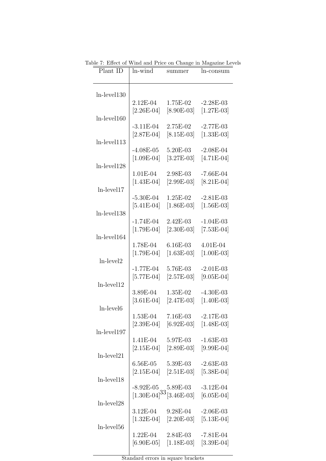| Plant ID              | ln-wind      | summer                                                                               | ln-consum    |
|-----------------------|--------------|--------------------------------------------------------------------------------------|--------------|
|                       |              |                                                                                      |              |
|                       |              |                                                                                      |              |
| $ln$ -level $130$     |              |                                                                                      |              |
|                       | 2.12E-04     | 1.75E-02                                                                             | $-2.28E-03$  |
|                       | $[2.26E-04]$ | $[8.90E-03]$                                                                         | $[1.27E-03]$ |
| $ln$ -level $160$     |              |                                                                                      |              |
|                       | $-3.11E-04$  | 2.75E-02                                                                             | $-2.77E-03$  |
|                       | $[2.87E-04]$ | $[8.15E-03]$                                                                         | $[1.33E-03]$ |
| $ln$ -level $113$     |              |                                                                                      |              |
|                       | $-4.08E-05$  | 5.20E-03                                                                             | $-2.08E-04$  |
|                       | $[1.09E-04]$ | $[3.27E-03]$                                                                         | $[4.71E-04]$ |
| $ln$ -level $128$     |              |                                                                                      |              |
|                       |              |                                                                                      |              |
|                       | 1.01E-04     | 2.98E-03                                                                             | $-7.66E-04$  |
|                       | $[1.43E-04]$ | $[2.99E-03]$                                                                         | $[8.21E-04]$ |
| $ln$ -level17         |              |                                                                                      |              |
|                       | $-5.30E-04$  | 1.25E-02                                                                             | $-2.81E-03$  |
|                       | $[5.41E-04]$ | $[1.86E-03]$                                                                         | $[1.56E-03]$ |
| $ln$ -level $138$     |              |                                                                                      |              |
|                       | $-1.74E-04$  | 2.42E-03                                                                             | $-1.04E-03$  |
|                       | $[1.79E-04]$ | $[2.30E-03]$                                                                         | $[7.53E-04]$ |
| $ln$ -level $164$     |              |                                                                                      |              |
|                       | 1.78E-04     | $6.16E-03$                                                                           | 4.01E-04     |
|                       | $[1.79E-04]$ | $[1.63E-03]$                                                                         | $[1.00E-03]$ |
| ln-level2             |              |                                                                                      |              |
|                       | $-1.77E-04$  | 5.76E-03                                                                             | $-2.01E-03$  |
|                       | $[5.77E-04]$ | $[2.57E-03]$                                                                         | $[9.05E-04]$ |
| $ln$ -level $12$      |              |                                                                                      |              |
|                       | 3.89E-04     | 1.35E-02                                                                             | $-4.30E-03$  |
|                       | $[3.61E-04]$ | $[2.47E-03]$                                                                         | $[1.40E-03]$ |
| ln-level <sub>6</sub> |              |                                                                                      |              |
|                       | $1.53E-04$   | $7.16E-03$                                                                           | $-2.17E-03$  |
|                       |              | $[2.39E-04]$ $[6.92E-03]$ $[1.48E-03]$                                               |              |
| ln-level197           |              |                                                                                      |              |
|                       | 1.41E-04     | 5.97E-03                                                                             | $-1.63E-03$  |
|                       |              | $[2.15E-04]$ $[2.89E-03]$                                                            | $[9.99E-04]$ |
| $ln$ -level $21$      |              |                                                                                      |              |
|                       | $6.56E-05$   | $5.39E-03$                                                                           | $-2.63E-03$  |
|                       |              | $[2.15E-04]$ $[2.51E-03]$                                                            | $[5.38E-04]$ |
| $ln$ -level $18$      |              |                                                                                      |              |
|                       |              |                                                                                      | $-3.12E-04$  |
|                       |              | $-8.92E-05$ $5.89E-03$ $-3.12E-04$<br>[1.30E-04] <sup>33</sup> [3.46E-03] [6.05E-04] |              |
|                       |              |                                                                                      |              |
| $ln$ -level $28$      |              |                                                                                      |              |
|                       | $3.12E-04$   | $9.28E-04$                                                                           | $-2.06E-03$  |
|                       |              | $[1.32E-04]$ $[2.20E-03]$                                                            | $[5.13E-04]$ |
| $ln$ -level $56$      |              |                                                                                      |              |
|                       | 1.22E-04     | $2.84E-03$                                                                           | $-7.81E-04$  |
|                       | $[6.90E-05]$ | $[1.18E-03]$                                                                         | $[3.39E-04]$ |

Table 7: Effect of Wind and Price on Change in Magazine Levels

Standard errors in square brackets